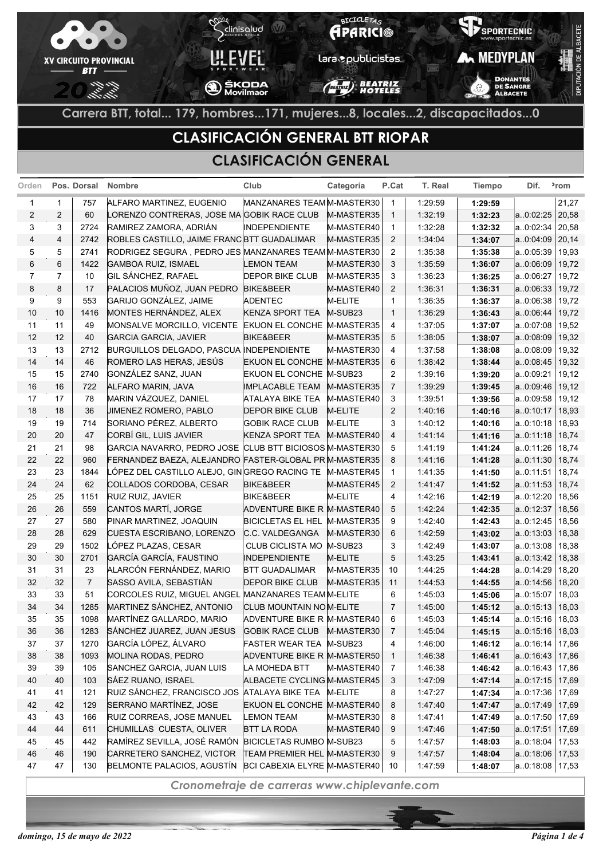

# **CLASIFICACIÓN GENERAL BTT RIOPAR**

### **CLASIFICACIÓN GENERAL**

| Orden          |                | Pos. Dorsal    | Nombre                                                                          | Club                                                   | Categoría           | P.Cat               | T. Real            | <b>Tiempo</b>      | Dif.                   | <sup>2</sup> rom |
|----------------|----------------|----------------|---------------------------------------------------------------------------------|--------------------------------------------------------|---------------------|---------------------|--------------------|--------------------|------------------------|------------------|
| 1              | 1              | 757            | ALFARO MARTINEZ, EUGENIO                                                        | MANZANARES TEAM M-MASTER30                             |                     | $\overline{1}$      | 1:29:59            | 1:29:59            |                        | 21,27            |
| $\overline{2}$ | $\overline{2}$ | 60             | LORENZO CONTRERAS, JOSE MA GOBIK RACE CLUB                                      |                                                        | M-MASTER35          | $\overline{1}$      | 1:32:19            | 1:32:23            | a.0:02:25              | 20,58            |
| 3              | 3              | 2724           | RAMIREZ ZAMORA, ADRIÁN                                                          | <b>INDEPENDIENTE</b>                                   | M-MASTER40          | $\overline{1}$      | 1:32:28            | 1:32:32            | a.0:02:34              | 20,58            |
| 4              | $\overline{4}$ | 2742           | ROBLES CASTILLO, JAIME FRANC BTT GUADALIMAR                                     |                                                        | M-MASTER35          | $\overline{2}$      | 1.34.04            | 1:34:07            | a.0:04:09              | 20,14            |
| 5              | 5              | 2741           | RODRIGEZ SEGURA, PEDRO JES MANZANARES TEAM M-MASTER30                           |                                                        |                     | $\overline{2}$      | 1:35:38            | 1:35:38            | a.0:05:39              | 19,93            |
| 6              | 6              | 1422           | <b>GAMBOA RUIZ, ISMAEL</b>                                                      | <b>LEMON TEAM</b>                                      | M-MASTER30          | 3                   | 1:35:59            | 1:36:07            | a.0:06:09              | 19,72            |
| $\overline{7}$ | $\overline{7}$ | 10             | GIL SÁNCHEZ, RAFAEL                                                             | <b>DEPOR BIKE CLUB</b>                                 | M-MASTER35          | 3                   | 1:36:23            | 1:36:25            | a.0:06:27              | 19,72            |
| 8              | 8              | 17             | PALACIOS MUÑOZ, JUAN PEDRO                                                      | BIKE&BEER                                              | M-MASTER40          | 2                   | 1:36:31            | 1:36:31            | a.0:06:33              | 19,72            |
| 9              | 9              | 553            | GARIJO GONZÁLEZ, JAIME                                                          | <b>ADENTEC</b>                                         | M-ELITE             | $\mathbf{1}$        | 1:36:35            | 1:36:37            | a.0:06:38              | 19,72            |
| 10             | 10             | 1416           | MONTES HERNÁNDEZ, ALEX                                                          | <b>KENZA SPORT TEA</b>                                 | M-SUB <sub>23</sub> | $\overline{1}$      | 1.36.29            | 1:36:43            | a.0:06:44              | 19,72            |
| 11             | 11             | 49             | MONSALVE MORCILLO, VICENTE                                                      | EKUON EL CONCHE M-MASTER35                             |                     | 4                   | 1:37:05            | 1:37:07            | a.0:07:08              | 19,52            |
| 12             | 12             | 40             | <b>GARCIA GARCIA, JAVIER</b>                                                    | <b>BIKE&amp;BEER</b>                                   | M-MASTER35          | 5                   | 1:38:05            | 1:38:07            | a.0:08:09              | 19,32            |
| 13             | 13             | 2712           | BURGUILLOS DELGADO, PASCUA INDEPENDIENTE                                        |                                                        | M-MASTER30          | 4                   | 1:37:58            | 1:38:08            | a.0:08:09              | 19,32            |
| 14             | 14             | 46             | ROMERO LAS HERAS, JESÚS                                                         | <b>EKUON EL CONCHE M-MASTER35</b>                      |                     | 6                   | 1.38.42            | 1:38:44            | a.0:08:45              | 19,32            |
| 15             | 15             | 2740           | GONZÁLEZ SANZ, JUAN                                                             | EKUON EL CONCHE M-SUB23                                |                     | $\overline{2}$      | 1:39:16            | 1:39:20            | a.0:09:21              | 19,12            |
| 16             | 16             | 722            | ALFARO MARIN, JAVA                                                              | <b>IMPLACABLE TEAM</b>                                 | M-MASTER35          | $\overline{7}$      | 1.39.29            | 1:39:45            | a.0:09:46              | 19,12            |
| 17             | 17             | 78             | MARIN VÁZQUEZ, DANIEL                                                           | ATALAYA BIKE TEA                                       | M-MASTER40          | 3                   | 1:39:51            | 1:39:56            | a.0:09:58              | 19,12            |
| 18             | 18             | 36             | JIMENEZ ROMERO, PABLO                                                           | <b>DEPOR BIKE CLUB</b>                                 | M-ELITE             | 2                   | 1.40.16            | 1:40:16            | a0:10:17               | 18,93            |
| 19             | 19             | 714            | SORIANO PÉREZ, ALBERTO                                                          | <b>GOBIK RACE CLUB</b>                                 | M-ELITE             | 3                   | 1:40:12            | 1:40:16            | a.0:10:18              | 18,93            |
| 20             | 20             | 47             | CORBÍ GIL, LUIS JAVIER                                                          | <b>KENZA SPORT TEA</b>                                 | M-MASTER40          | $\overline{4}$      | 14114              | 1:41:16            | a.0:11:18              | 18,74            |
| 21             | 21             | 98             | GARCIA NAVARRO, PEDRO JOSE CLUB BTT BICIOSOS M-MASTER30                         |                                                        |                     | 5                   | 1:41:19            | 1:41:24            | a.0:11:26              | 18,74            |
| 22             | 22             | 960            | FERNANDEZ BAEZA, ALEJANDRO FASTER-GLOBAL PR M-MASTER35                          |                                                        |                     | 8                   | 1.41.16            | 1:41:28            | a.0:11:30              | 18,74            |
| 23             | 23             | 1844           | LÓPEZ DEL CASTILLO ALEJO, GINGREGO RACING TE                                    |                                                        | M-MASTER45          | $\mathbf{1}$        | 1.41.35            | 1:41:50            | a.0:11:51              | 18,74            |
| 24             | 24             | 62             | COLLADOS CORDOBA, CESAR                                                         | <b>BIKE&amp;BEER</b>                                   | M-MASTER45          | $\overline{2}$      | 14147              | 1:41:52            | a.0.11.53              | 18,74            |
| 25             | 25             | 1151           | RUIZ RUIZ, JAVIER                                                               | <b>BIKE&amp;BEER</b>                                   | M-ELITE             | 4                   | 1.42.16            | 1:42:19            | a.0:12:20              | 18,56            |
| 26             | 26             | 559            | CANTOS MARTÍ, JORGE                                                             | ADVENTURE BIKE R M-MASTER40                            |                     | 5                   | 1:42:24            | 1:42:35            | a0:12:37               | 18,56            |
| 27             | 27             | 580            | PINAR MARTINEZ, JOAQUIN                                                         | BICICLETAS EL HEL M-MASTER35                           |                     | 9                   | 1:42:40            | 1:42:43            | a.0:12:45              | 18,56            |
| 28             | 28             | 629            | CUESTA ESCRIBANO, LORENZO                                                       | C.C. VALDEGANGA                                        | M-MASTER30          | 6                   | 1.42.59            | 1:43:02            | a.0.13:03              | 18,38            |
| 29             | 29             | 1502           | LÓPEZ PLAZAS, CESAR                                                             | CLUB CICLISTA MO   M-SUB23                             |                     | 3                   | 1.42.49            | 1:43:07            | a.0:13:08              | 18,38            |
| 30             | 30             | 2701           | GARCÍA GARCÍA, FAUSTINO                                                         | <b>INDEPENDIENTE</b>                                   | M-ELITE             | 5                   | 1.43.25            | 1:43:41            | a.0:13:42              | 18,38            |
| 31             | 31             | 23             | ALARCÓN FERNÁNDEZ, MARIO                                                        | <b>BTT GUADALIMAR</b>                                  | M-MASTER35          | 10                  | 1.44.25            | 1:44:28            | a.0:14:29              | 18,20            |
| 32             | 32             | $\overline{7}$ | SASSO AVILA, SEBASTIÁN                                                          | <b>DEPOR BIKE CLUB</b>                                 | M-MASTER35          | 11                  | 1:44:53            | 1:44:55            | a.0:14:56              | 18,20            |
| 33             | 33<br>34       | 51<br>1285     | CORCOLES RUIZ, MIGUEL ANGEL MANZANARES TEAMM-ELITE<br>MARTINEZ SÁNCHEZ, ANTONIO |                                                        |                     | 6                   | 1.45.03            | 1:45:06            | a0:15:07               | 18,03            |
| 34             | 35             | 1098           |                                                                                 | CLUB MOUNTAIN NOM-ELITE                                |                     | 7                   | 1.45:00            | 1:45:12            | a.0.15.13<br>a0:15:16  | 18,03            |
| 35<br>36       | 36             | 1283           | MARTÍNEZ GALLARDO, MARIO<br>SÁNCHEZ JUAREZ, JUAN JESUS                          | ADVENTURE BIKE R M-MASTER40<br><b>GOBIK RACE CLUB</b>  | M-MASTER30          | 6<br>$\overline{7}$ | 1.45.03<br>1:45:04 | 1:45:14<br>1:45:15 | a.0.15.16              | 18,03<br>18,03   |
|                | 37             | 1270           | GARCÍA LÓPEZ, ÁLVARO                                                            |                                                        |                     |                     |                    |                    |                        |                  |
| 37<br>38       | 38             | 1093           | MOLINA RODAS, PEDRO                                                             | FASTER WEAR TEA M-SUB23<br>ADVENTURE BIKE R M-MASTER50 |                     | 4<br>$\mathbf{1}$   | 1:46:00<br>1:46:38 | 1:46:12<br>1:46:41 | a.0.16.14<br>a.0.16:43 | 17,86<br>17,86   |
| $39\,$         | 39             | 105            | SANCHEZ GARCIA, JUAN LUIS                                                       | LA MOHEDA BTT                                          | M-MASTER40          | 7                   | 1:46:38            | 1:46:42            | a.0:16:43              | 17,86            |
| 40             | 40             | 103            | SÁEZ RUANO, ISRAEL                                                              | ALBACETE CYCLING M-MASTER45                            |                     | 3                   | 1:47:09            | 1:47:14            | a.0.17:15              | 17,69            |
| 41             | 41             | 121            | RUIZ SÁNCHEZ, FRANCISCO JOS ATALAYA BIKE TEA                                    |                                                        | M-ELITE             | 8                   | 1:47:27            | 1:47:34            | a0:17:36               | 17,69            |
| 42             | 42             | 129            | SERRANO MARTÍNEZ, JOSE                                                          | EKUON EL CONCHE M-MASTER40                             |                     | 8                   | 1:47:40            | 1:47:47            | a.0.17.49              | 17,69            |
| 43             | 43             | 166            | RUIZ CORREAS, JOSE MANUEL                                                       | <b>LEMON TEAM</b>                                      | M-MASTER30          | 8                   | 1:47:41            | 1:47:49            | a0:17:50               | 17,69            |
| 44             | 44             | 611            | CHUMILLAS CUESTA, OLIVER                                                        | <b>BTT LA RODA</b>                                     | M-MASTER40          | 9                   | 1:47:46            | 1:47:50            | a.0.17:51              | 17,69            |
| 45             | 45             | 442            | RAMÍREZ SEVILLA, JOSÉ RAMÓN BICICLETAS RUMBO M-SUB23                            |                                                        |                     | 5                   | 1:47:57            | 1:48:03            | a.0:18:04              | 17,53            |
| 46             | 46             | 190            | CARRETERO SANCHEZ, VICTOR                                                       | TEAM PREMIER HEL M-MASTER30                            |                     | 9                   | 1:47:57            | 1:48:04            | a.0:18:06              | 17,53            |
| 47             | 47             | 130            | BELMONTE PALACIOS, AGUSTÍN BCI CABEXIA ELYRE M-MASTER40                         |                                                        |                     | 10                  | 1:47:59            | 1:48:07            | $a.0.18.08$ 17,53      |                  |
|                |                |                |                                                                                 |                                                        |                     |                     |                    |                    |                        |                  |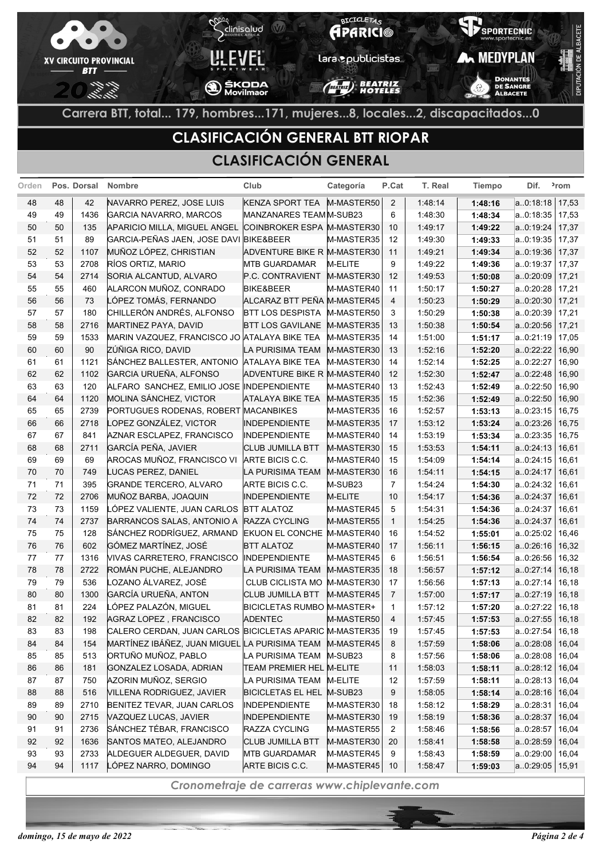

## **CLASIFICACIÓN GENERAL BTT RIOPAR**

### **CLASIFICACIÓN GENERAL**

| Orden |    | Pos. Dorsal | <b>Nombre</b>                                           | Club                        | Categoría  | P.Cat          | T. Real | <b>Tiempo</b> | Dif.      | <sup>2</sup> rom |
|-------|----|-------------|---------------------------------------------------------|-----------------------------|------------|----------------|---------|---------------|-----------|------------------|
| 48    | 48 | 42          | NAVARRO PEREZ, JOSE LUIS                                | <b>KENZA SPORT TEA</b>      | M-MASTER50 | 2              | 1:48:14 | 1:48:16       | a.0:18:18 | 17,53            |
| 49    | 49 | 1436        | <b>GARCIA NAVARRO, MARCOS</b>                           | MANZANARES TEAMM-SUB23      |            | 6              | 1:48:30 | 1:48:34       | a0:18:35  | 17,53            |
| 50    | 50 | 135         | APARICIO MILLA, MIGUEL ANGEL                            | COINBROKER ESPA M-MASTER30  |            | 10             | 1:49:17 | 1:49:22       | a.0:19:24 | 17,37            |
| 51    | 51 | 89          | GARCIA-PEÑAS JAEN, JOSE DAVI BIKE&BEER                  |                             | M-MASTER35 | 12             | 1:49:30 | 1:49:33       | a.0:19:35 | 17,37            |
| 52    | 52 | 1107        | MUÑOZ LÓPEZ, CHRISTIAN                                  | ADVENTURE BIKE R M-MASTER30 |            | 11             | 1:49:21 | 1:49:34       | a.0:19:36 | 17,37            |
| 53    | 53 | 2708        | RÍOS ORTIZ, MARIO                                       | <b>MTB GUARDAMAR</b>        | M-ELITE    | 9              | 1:49:22 | 1:49:36       | a.0:19:37 | 17,37            |
| 54    | 54 | 2714        | SORIA ALCANTUD, ALVARO                                  | P.C. CONTRAVIENT            | M-MASTER30 | 12             | 1:49:53 | 1:50:08       | a.0:20:09 | 17,21            |
| 55    | 55 | 460         | ALARCON MUÑOZ, CONRADO                                  | <b>BIKE&amp;BEER</b>        | M-MASTER40 | 11             | 1:50:17 | 1:50:27       | a.0:20:28 | 17,21            |
| 56    | 56 | 73          | LÓPEZ TOMÁS, FERNANDO                                   | ALCARAZ BTT PEÑA M-MASTER45 |            | 4              | 1:50:23 | 1:50:29       | a.0:20:30 | 17,21            |
| 57    | 57 | 180         | CHILLERÓN ANDRÉS, ALFONSO                               | <b>BTT LOS DESPISTA</b>     | M-MASTER50 | 3              | 1:50:29 | 1:50:38       | a.0:20:39 | 17,21            |
| 58    | 58 | 2716        | MARTINEZ PAYA, DAVID                                    | <b>BTT LOS GAVILANE</b>     | M-MASTER35 | 13             | 1:50:38 | 1:50:54       | a0:20:56  | 17,21            |
| 59    | 59 | 1533        | MARIN VAZQUEZ, FRANCISCO JO ATALAYA BIKE TEA            |                             | M-MASTER35 | 14             | 1:51:00 | 1:51:17       | a.0:21:19 | 17,05            |
| 60    | 60 | 90          | ZÚÑIGA RICO, DAVID                                      | LA PURISIMA TEAM            | M-MASTER30 | 13             | 1:52:16 | 1:52:20       | a.0:22:22 | 16,90            |
| 61    | 61 | 1121        | SÁNCHEZ BALLESTER, ANTONIO                              | <b>ATALAYA BIKE TEA</b>     | M-MASTER30 | 14             | 1:52:14 | 1:52:25       | a.0:22:27 | 16,90            |
| 62    | 62 | 1102        | GARCIA URUEÑA, ALFONSO                                  | ADVENTURE BIKE R M-MASTER40 |            | 12             | 1:52:30 | 1:52:47       | a.0:22:48 | 16,90            |
| 63    | 63 | 120         | ALFARO SANCHEZ, EMILIO JOSE INDEPENDIENTE               |                             | M-MASTER40 | 13             | 1:52:43 | 1:52:49       | a.0:22:50 | 16,90            |
| 64    | 64 | 1120        | MOLINA SÁNCHEZ, VICTOR                                  | <b>ATALAYA BIKE TEA</b>     | M-MASTER35 | 15             | 1:52:36 | 1:52:49       | a.0:22:50 | 16,90            |
| 65    | 65 | 2739        | PORTUGUES RODENAS, ROBERT MACANBIKES                    |                             | M-MASTER35 | 16             | 1:52:57 | 1:53:13       | a.0:23:15 | 16,75            |
| 66    | 66 | 2718        | LOPEZ GONZÁLEZ, VICTOR                                  | <b>INDEPENDIENTE</b>        | M-MASTER35 | 17             | 1:53:12 | 1:53:24       | a.0:23:26 | 16,75            |
| 67    | 67 | 841         | AZNAR ESCLAPEZ, FRANCISCO                               | <b>INDEPENDIENTE</b>        | M-MASTER40 | 14             | 1:53:19 | 1:53:34       | a.0:23:35 | 16,75            |
| 68    | 68 | 2711        | GARCÍA PEÑA, JAVIER                                     | CLUB JUMILLA BTT            | M-MASTER30 | 15             | 1:53:53 | 1:54:11       | a.0:24:13 | 16,61            |
| 69    | 69 | 69          | AROCAS MUÑOZ, FRANCISCO VI                              | ARTE BICIS C.C.             | M-MASTER40 | 15             | 1:54:09 | 1:54:14       | a.0:24:15 | 16,61            |
| 70    | 70 | 749         | LUCAS PEREZ, DANIEL                                     | LA PURISIMA TEAM            | M-MASTER30 | 16             | 1:54:11 | 1:54:15       | a.0:24:17 | 16,61            |
| 71    | 71 | 395         | <b>GRANDE TERCERO, ALVARO</b>                           | ARTE BICIS C.C.             | M-SUB23    | $\overline{7}$ | 1:54:24 | 1:54:30       | a.0:24:32 | 16,61            |
| 72    | 72 | 2706        | MUÑOZ BARBA, JOAQUIN                                    | <b>INDEPENDIENTE</b>        | M-ELITE    | 10             | 1:54:17 | 1:54:36       | a.0:24:37 | 16,61            |
| 73    | 73 | 1159        | LÓPEZ VALIENTE, JUAN CARLOS                             | <b>BTT ALATOZ</b>           | M-MASTER45 | 5              | 1:54:31 | 1:54:36       | a0:24:37  | 16,61            |
| 74    | 74 | 2737        | BARRANCOS SALAS, ANTONIO A RAZZA CYCLING                |                             | M-MASTER55 | $\mathbf{1}$   | 1:54:25 | 1:54:36       | a.0:24:37 | 16,61            |
| 75    | 75 | 128         | SÁNCHEZ RODRÍGUEZ, ARMAND                               | <b>EKUON EL CONCHE</b>      | M-MASTER40 | 16             | 1:54:52 | 1:55:01       | a.0:25:02 | 16,46            |
| 76    | 76 | 602         | GÓMEZ MARTÍNEZ, JOSÉ                                    | <b>BTT ALATOZ</b>           | M-MASTER40 | 17             | 1:56:11 | 1:56:15       | a.0:26:16 | 16,32            |
| 77    | 77 | 1316        | VIVAS CARRETERO, FRANCISCO                              | <b>INDEPENDIENTE</b>        | M-MASTER45 | 6              | 1:56:51 | 1:56:54       | a0:26:56  | 16,32            |
| 78    | 78 | 2722        | ROMÁN PUCHE, ALEJANDRO                                  | LA PURISIMA TEAM            | M-MASTER35 | 18             | 1:56:57 | 1:57:12       | a.0:27:14 | 16,18            |
| 79    | 79 | 536         | LOZANO ÁLVAREZ, JOSÉ                                    | <b>CLUB CICLISTA MO</b>     | M-MASTER30 | 17             | 1:56:56 | 1:57:13       | a.0:27:14 | 16,18            |
| 80    | 80 | 1300        | GARCÍA URUEÑA, ANTON                                    | <b>CLUB JUMILLA BTT</b>     | M-MASTER45 | 7              | 1:57:00 | 1:57:17       | a.0:27:19 | 16,18            |
| 81    | 81 | 224         | LÓPEZ PALAZÓN, MIGUEL                                   | BICICLETAS RUMBO M-MASTER+  |            | $\mathbf{1}$   | 1.57:12 | 1:57:20       | a.0:27:22 | 16,18            |
| 82    | 82 | 192         | AGRAZ LOPEZ, FRANCISCO                                  | <b>ADENTEC</b>              | M-MASTER50 | 4              | 1:57:45 | 1:57:53       | a.0:27:55 | 16,18            |
| 83    | 83 | 198         | CALERO CERDAN, JUAN CARLOS BICICLETAS APARIC M-MASTER35 |                             |            | 19             | 1:57:45 | 1:57:53       | a.0:27:54 | 16,18            |
| 84    | 84 | 154         | MARTÍNEZ IBÁÑEZ, JUAN MIGUEL LA PURISIMA TEAM           |                             | M-MASTER45 | 8              | 1:57:59 | 1:58:06       | a.0.28.08 | 16,04            |
| 85    | 85 | 513         | ORTUÑO MUÑOZ, PABLO                                     | LA PURISIMA TEAM            | M-SUB23    | 8              | 1:57:56 | 1:58:06       | a0:28:08  | 16,04            |
| 86    | 86 | 181         | GONZALEZ LOSADA, ADRIAN                                 | TEAM PREMIER HEL M-ELITE    |            | 11             | 1:58:03 | 1:58:11       | a0:28:12  | 16,04            |
| 87    | 87 | 750         | AZORIN MUÑOZ, SERGIO                                    | LA PURISIMA TEAM            | M-ELITE    | 12             | 1:57:59 | 1:58:11       | a0:28:13  | 16,04            |
| 88    | 88 | 516         | <b>VILLENA RODRIGUEZ, JAVIER</b>                        | BICICLETAS EL HEL M-SUB23   |            | 9              | 1:58:05 | 1:58:14       | a.0:28:16 | 16,04            |
| 89    | 89 | 2710        | BENITEZ TEVAR, JUAN CARLOS                              | <b>INDEPENDIENTE</b>        | M-MASTER30 | 18             | 1:58:12 | 1:58:29       | a0.28.31  | 16,04            |
| 90    | 90 | 2715        | VAZQUEZ LUCAS, JAVIER                                   | <b>INDEPENDIENTE</b>        | M-MASTER30 | 19             | 1:58:19 | 1:58:36       | a.0.28:37 | 16,04            |
| 91    | 91 | 2736        | SÁNCHEZ TÉBAR, FRANCISCO                                | RAZZA CYCLING               | M-MASTER55 | $\overline{2}$ | 1:58:46 | 1:58:56       | a0:28:57  | 16,04            |
| 92    | 92 | 1636        | SANTOS MATEO, ALEJANDRO                                 | <b>CLUB JUMILLA BTT</b>     | M-MASTER30 | 20             | 1:58:41 | 1:58:58       | a0:28:59  | 16,04            |
| 93    | 93 | 2733        | ALDEGUER ALDEGUER, DAVID                                | <b>MTB GUARDAMAR</b>        | M-MASTER45 | 9              | 1:58:43 | 1:58:59       | a0:29:00  | 16,04            |
| 94    | 94 | 1117        | LÓPEZ NARRO, DOMINGO                                    | ARTE BICIS C.C.             | M-MASTER45 | 10             | 1:58:47 | 1:59:03       | a.0:29:05 | 15,91            |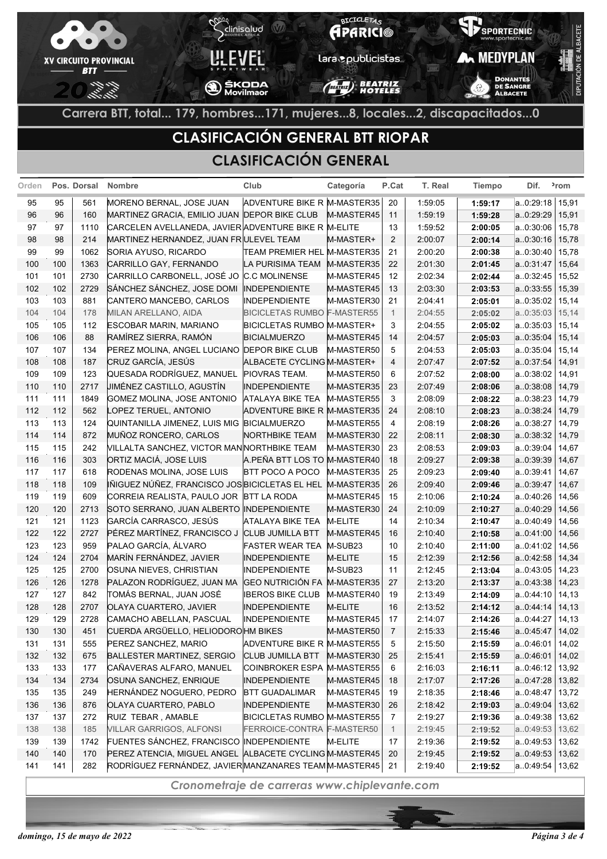

## **CLASIFICACIÓN GENERAL BTT RIOPAR**

#### **CLASIFICACIÓN GENERAL**

| Orden      |            | Pos. Dorsal | <b>Nombre</b>                                                                                                     | Club                               | Categoría  | P.Cat          | T. Real | Tiempo  | Dif.                   | <sup>2</sup> rom |
|------------|------------|-------------|-------------------------------------------------------------------------------------------------------------------|------------------------------------|------------|----------------|---------|---------|------------------------|------------------|
| 95         | 95         | 561         | MORENO BERNAL, JOSE JUAN                                                                                          | ADVENTURE BIKE R M-MASTER35        |            | 20             | 1.59.05 | 1:59:17 | a.0:29:18              | 15,91            |
| 96         | 96         | 160         | MARTINEZ GRACIA, EMILIO JUAN DEPOR BIKE CLUB                                                                      |                                    | M-MASTER45 | 11             | 1:59:19 | 1:59:28 | a0:29:29               | 15,91            |
| 97         | 97         | 1110        | CARCELEN AVELLANEDA, JAVIER ADVENTURE BIKE R M-ELITE                                                              |                                    |            | 13             | 1:59:52 | 2:00:05 | a.0:30:06              | 15,78            |
| 98         | 98         | 214         | MARTINEZ HERNANDEZ, JUAN FR ULEVEL TEAM                                                                           |                                    | M-MASTER+  | 2              | 2:00:07 | 2:00:14 | a. 0:30:16             | 15,78            |
| 99         | 99         | 1062        | SORIA AYUSO, RICARDO                                                                                              | TEAM PREMIER HEL M-MASTER35        |            | 21             | 2:00:20 | 2:00:38 | a.0:30:40              | 15,78            |
| 100        | 100        | 1363        | CARRILLO GAY, FERNANDO                                                                                            | LA PURISIMA TEAM                   | M-MASTER35 | 22             | 2:01:30 | 2:01:45 | a.0.31:47              | 15,64            |
| 101        | 101        | 2730        | CARRILLO CARBONELL, JOSÉ JO                                                                                       | <b>C.C MOLINENSE</b>               | M-MASTER45 | 12             | 2:02:34 | 2:02:44 | a.0:32:45              | 15,52            |
| 102        | 102        | 2729        | SÁNCHEZ SÁNCHEZ, JOSE DOMI                                                                                        | <b>INDEPENDIENTE</b>               | M-MASTER45 | 13             | 2:03:30 | 2:03:53 | a.0.33.55              | 15,39            |
| 103        | 103        | 881         | CANTERO MANCEBO, CARLOS                                                                                           | <b>INDEPENDIENTE</b>               | M-MASTER30 | 21             | 2:04:41 | 2:05:01 | a.0:35:02              | 15,14            |
| 104        | 104        | 178         | MILAN ARELLANO, AIDA                                                                                              | <b>BICICLETAS RUMBO F-MASTER55</b> |            | $\overline{1}$ | 2:04:55 | 2:05:02 | a0:35:03               | 15,14            |
| 105        | 105        | 112         | ESCOBAR MARIN, MARIANO                                                                                            | BICICLETAS RUMBO M-MASTER+         |            | 3              | 2:04:55 | 2:05:02 | a.0:35:03              | 15,14            |
| 106        | 106        | 88          | RAMÍREZ SIERRA, RAMÓN                                                                                             | <b>BICIALMUERZO</b>                | M-MASTER45 | 14             | 2:04:57 | 2:05:03 | a.0.35.04              | 15,14            |
| 107        | 107        | 134         | PEREZ MOLINA, ANGEL LUCIANO DEPOR BIKE CLUB                                                                       |                                    | M-MASTER50 | 5              | 2:04:53 | 2:05:03 | a.0:35:04              | 15,14            |
| 108        | 108        | 187         | CRUZ GARCÍA, JESÚS                                                                                                | ALBACETE CYCLING M-MASTER+         |            | 4              | 2:07:47 | 2:07:52 | a.0.37.54              | 14,91            |
| 109        | 109        | 123         | QUESADA RODRÍGUEZ, MANUEL                                                                                         | PIOVRAS TEAM.                      | M-MASTER50 | 6              | 2:07:52 | 2:08:00 | a.0:38:02              | 14,91            |
| 110        | 110        | 2717        | <b>JIMÉNEZ CASTILLO, AGUSTÍN</b>                                                                                  | <b>INDEPENDIENTE</b>               | M-MASTER35 | 23             | 2:07:49 | 2:08:06 | a.0.38.08              | 14,79            |
| 111        | 111        | 1849        | GOMEZ MOLINA, JOSE ANTONIO                                                                                        | <b>ATALAYA BIKE TEA</b>            | M-MASTER55 | 3              | 2:08:09 | 2:08:22 | a.0:38:23              | 14,79            |
| 112        | 112        | 562         | LOPEZ TERUEL, ANTONIO                                                                                             | ADVENTURE BIKE R M-MASTER35        |            | 24             | 2:08:10 | 2:08:23 | a.0.38.24              | 14,79            |
| 113        | 113        | 124         | QUINTANILLA JIMENEZ, LUIS MIG BICIALMUERZO                                                                        |                                    | M-MASTER55 | $\overline{4}$ | 2:08:19 | 2:08:26 | a.0:38:27              | 14,79            |
| 114        | 114        | 872         | MUÑOZ RONCERO, CARLOS                                                                                             | NORTHBIKE TEAM                     | M-MASTER30 | 22             | 2:08:11 | 2:08:30 | a.0.38.32              | 14,79            |
| 115        | 115        | 242         | VILLALTA SANCHEZ, VICTOR MANNORTHBIKE TEAM                                                                        |                                    | M-MASTER30 | 23             | 2:08:53 | 2:09:03 | a.0:39:04              | 14,67            |
| 116        | 116        | 303         | ORTIZ MACIÁ, JOSE LUIS                                                                                            | A.PEÑA BTT LOS TO M-MASTER40       |            | 18             | 2:09:27 | 2:09:38 | a. 0:39:39             | 14,67            |
| 117        | 117        | 618         | RODENAS MOLINA, JOSE LUIS                                                                                         | BTT POCO A POCO                    | M-MASTER35 | 25             | 2:09:23 | 2:09:40 | a. 0:39:41             | 14,67            |
| 118        | 118        | 109         | IÑIGUEZ NÚÑEZ, FRANCISCO JOS BICICLETAS EL HEL                                                                    |                                    | M-MASTER35 | 26             | 2:09:40 | 2:09:46 | a.0.39.47              | 14,67            |
| 119        | 119        | 609         | CORREIA REALISTA, PAULO JOR                                                                                       | <b>BTT LA RODA</b>                 | M-MASTER45 | 15             | 2:10:06 | 2:10:24 | a.0:40:26              | 14,56            |
| 120        | 120        | 2713        | SOTO SERRANO, JUAN ALBERTO INDEPENDIENTE                                                                          |                                    | M-MASTER30 | 24             | 2:10:09 | 2:10:27 | a0:40:29               | 14,56            |
| 121        | 121        | 1123        | GARCÍA CARRASCO, JESÚS                                                                                            | <b>ATALAYA BIKE TEA</b>            | M-ELITE    | 14             | 2:10:34 | 2:10:47 | a.0:40:49              | 14,56            |
| 122        | 122        | 2727        | PÉREZ MARTÍNEZ, FRANCISCO J                                                                                       | <b>CLUB JUMILLA BTT</b>            | M-MASTER45 | 16             | 2:10:40 | 2:10:58 | a.0.41.00              | 14,56            |
| 123        | 123        | 959         | PALAO GARCÍA, ÁLVARO                                                                                              | <b>FASTER WEAR TEA</b>             | M-SUB23    | 10             | 2:10:40 | 2:11:00 | a.0.41.02              | 14,56            |
| 124        | 124        | 2704        | MARÍN FERNÁNDEZ, JAVIER                                                                                           | <b>INDEPENDIENTE</b>               | M-ELITE    | 15             | 2:12:39 | 2:12:56 | a.0.42.58              | 14,34            |
| 125        | 125        | 2700        | OSUNA NIEVES, CHRISTIAN                                                                                           | <b>INDEPENDIENTE</b>               | M-SUB23    | 11             | 2:12:45 | 2:13:04 | a.0:43:05              | 14,23            |
| 126        | 126        | 1278        | PALAZON RODRÍGUEZ, JUAN MA                                                                                        | GEO NUTRICIÓN FA M-MASTER35        |            | 27             | 2:13:20 | 2:13:37 | a.0.43.38              | 14,23            |
| 127        | 127        | 842         | TOMÁS BERNAL, JUAN JOSÉ                                                                                           | <b>IBEROS BIKE CLUB</b>            | M-MASTER40 | 19             | 2:13:49 | 2:14:09 | a.0:44:10              | 14,13            |
| 128        | 128        | 2707        | <b>OLAYA CUARTERO, JAVIER</b>                                                                                     | <b>INDEPENDIENTE</b>               | M-ELITE    | 16             | 2:13:52 | 2:14:12 | a.0.44.14              | 14,13            |
| 129        | 129        | 2728        | CAMACHO ABELLAN, PASCUAL                                                                                          | INDEPENDIENTE                      | M-MASTER45 | 17             | 2:14:07 | 2:14:26 | a0:44:27               | 14,13            |
| 130        | 130        | 451         | CUERDA ARGÜELLO, HELIODOROHM BIKES                                                                                |                                    | M-MASTER50 | $\overline{7}$ | 2:15:33 | 2:15:46 | a.0.45.47              | 14,02            |
| 131        | 131        | 555         | PEREZ SANCHEZ, MARIO                                                                                              | ADVENTURE BIKE R M-MASTER55        |            | 5              | 2:15:50 | 2:15:59 | a. 0:46:01             | 14,02            |
| 132        | 132        | 675         | <b>BALLESTER MARTINEZ, SERGIO</b>                                                                                 | <b>CLUB JUMILLA BTT</b>            | M-MASTER30 | 25             | 2:15:41 | 2:15:59 | a.0:46:01              | 14,02            |
| 133        | 133        | 177         | CAÑAVERAS ALFARO, MANUEL                                                                                          | COINBROKER ESPA M-MASTER55         |            | 6              | 2:16:03 | 2:16:11 | a.0:46:12              | 13,92            |
| 134        | 134        | 2734        | OSUNA SANCHEZ, ENRIQUE                                                                                            | <b>INDEPENDIENTE</b>               | M-MASTER45 | 18             | 2:17:07 | 2:17:26 | a.0.47.28              | 13,82            |
| 135        | 135        | 249         | HERNÁNDEZ NOGUERO, PEDRO                                                                                          | <b>BTT GUADALIMAR</b>              | M-MASTER45 | 19             | 2:18:35 | 2:18:46 | a.0.48.47              | 13,72            |
| 136        | 136        | 876         | <b>OLAYA CUARTERO, PABLO</b>                                                                                      | <b>INDEPENDIENTE</b>               | M-MASTER30 | 26             | 2:18:42 | 2:19:03 | a.0.49:04              | 13,62            |
| 137        | 137        | 272         | RUIZ TEBAR, AMABLE                                                                                                | <b>BICICLETAS RUMBO M-MASTER55</b> |            | $\overline{7}$ | 2:19:27 | 2:19:36 | a.0:49:38              | 13,62            |
| 138        | 138        | 185         | VILLAR GARRIGOS, ALFONSI<br>FUENTES SÁNCHEZ, FRANCISCO INDEPENDIENTE                                              | FERROICE-CONTRA F-MASTER50         |            | $\mathbf{1}$   | 2:19:45 | 2:19:52 | a0:49:53               | 13,62            |
| 139        | 139        | 1742        |                                                                                                                   |                                    | M-ELITE    | 17             | 2:19:36 | 2:19:52 | a.0:49:53              | 13,62            |
| 140<br>141 | 140<br>141 | 170<br>282  | PEREZ ATENCIA, MIGUEL ANGEL ALBACETE CYCLING M-MASTER45<br>RODRÍGUEZ FERNÁNDEZ, JAVIER MANZANARES TEAM M-MASTER45 |                                    |            | 20             | 2:19:45 | 2:19:52 | a.0.49.53<br>a.0.49.54 | 13,62            |
|            |            |             |                                                                                                                   |                                    |            | 21             | 2:19:40 | 2:19:52 |                        | 13,62            |